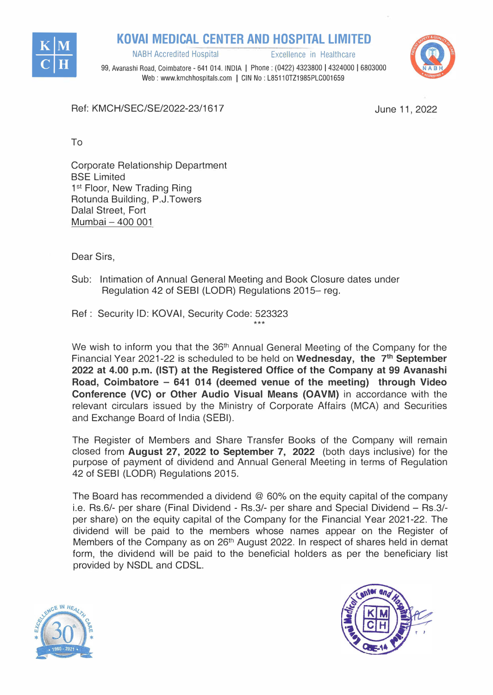

**KOVAI MEDICAL CENTER AND HOSPITAL LIMITED**<br>**Inabh Accredited Hospital** Excellence in Healthcare

99, Avanashi Road, Coimbatore - 641 014. INDIA I Phone: (0422) 4323800 I 4324000 I 6803000 Web : www.kmchhospitals.com | CIN No : L85110TZ1985PLC001659

Ref: KMCH/SEC/SE/2022-23/1617

June 11, 2022

To

Corporate Relationship Department BSE Limited 1<sup>st</sup> Floor, New Trading Ring Rotunda Building, P.J.Towers Dalal Street, Fort Mumbai - 400 001

Dear Sirs,

Sub: Intimation of Annual General Meeting and Book Closure dates under Regulation 42 of SEBI (LODR) Regulations 2015- reg.

Ref : Security ID: **KOVAi,** Security Code: 523323  $***$ 

We wish to inform you that the 36<sup>th</sup> Annual General Meeting of the Company for the Financial Year 2021-22 is scheduled to be held on Wednesday, the 7<sup>th</sup> September **2022 at 4.00 p.m. (1ST) at the Registered Office of the Company at 99 Avanashi Road, Coimbatore - 641 014 (deemed venue of the meeting) through Video Conference (VC) or Other Audio Visual Means (OAVM)** in accordance with the relevant circulars issued by the Ministry of Corporate Affairs (MCA) and Securities and Exchange Board of India (SEBI).

The Register of Members and Share Transfer Books of the Company will remain closed from **August 27, 2022 to September 7, 2022** (both days inclusive) for the purpose of payment of dividend and Annual General Meeting in terms of Regulation 42 of SEBI (LODR) Regulations 2015.

The Board has recommended a dividend @ 60% on the equity capital of the company i.e. Rs.6/- per share (Final Dividend - Rs.3/- per share and Special Dividend - Rs.3/per share) on the equity capital of the Company for the Financial Year 2021-22. The dividend will be paid to the members whose names appear on the Register of Members of the Company as on 26<sup>th</sup> August 2022. In respect of shares held in demat form, the dividend will be paid to the beneficial holders as per the beneficiary list provided by NSDL and CDSL.